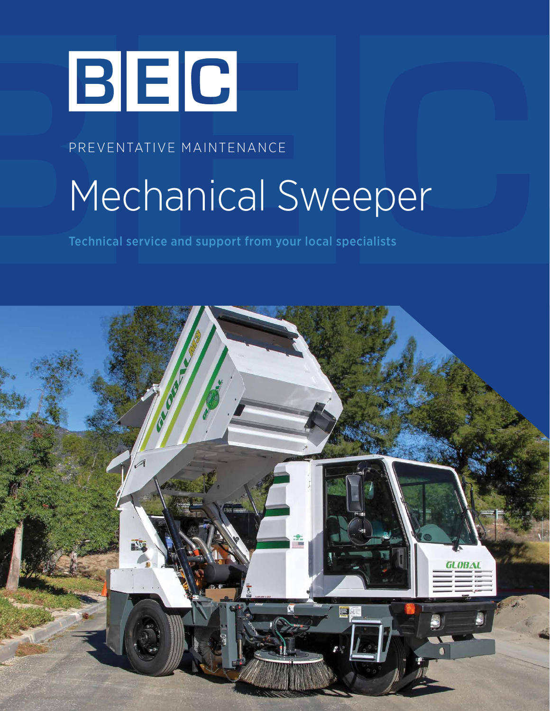

PREVENTATIVE MAINTENANCE

# Mechanical Sweeper

Technical service and support from your local specialists

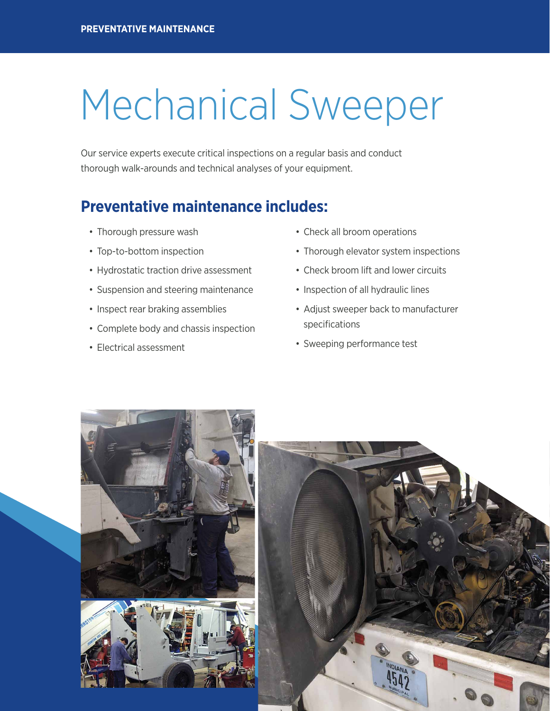## Mechanical Sweeper

Our service experts execute critical inspections on a regular basis and conduct thorough walk-arounds and technical analyses of your equipment.

### **Preventative maintenance includes:**

- Thorough pressure wash
- Top-to-bottom inspection
- Hydrostatic traction drive assessment
- Suspension and steering maintenance
- Inspect rear braking assemblies
- Complete body and chassis inspection
- Electrical assessment
- Check all broom operations
- Thorough elevator system inspections
- Check broom lift and lower circuits
- Inspection of all hydraulic lines
- Adjust sweeper back to manufacturer specifications
- Sweeping performance test



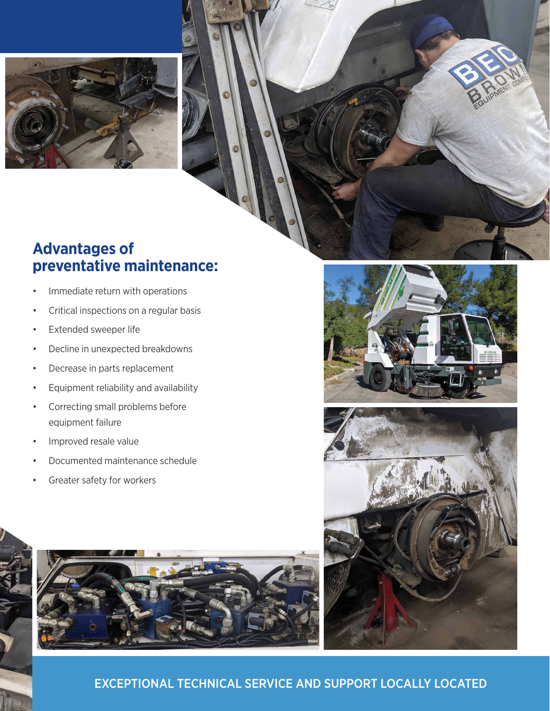

### **Advantages of preventative maintenance:**

- Immediate return with operations
- Critical inspections on a regular basis
- Extended sweeper life
- Decline in unexpected breakdowns
- Decrease in parts replacement
- Equipment reliability and availability
- Correcting small problems before equipment failure
- Improved resale value
- Documented maintenance schedule
- Greater safety for workers







#### EXCEPTIONAL TECHNICAL SERVICE AND SUPPORT LOCALLY LOCATED